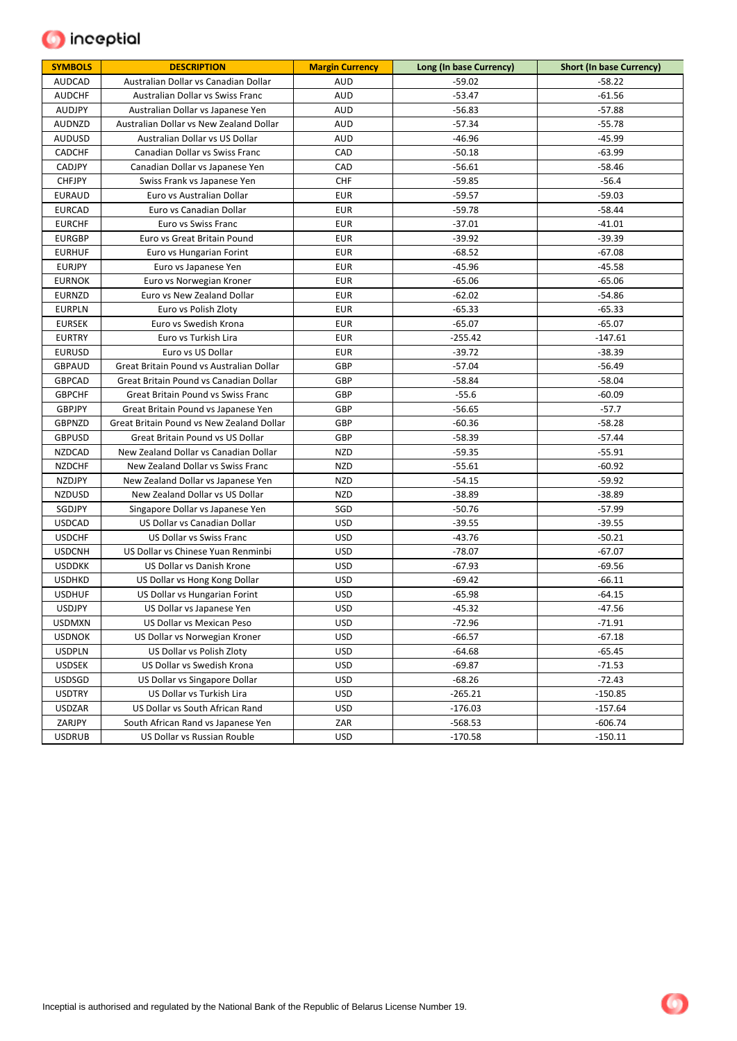## **O** inceptial

| <b>SYMBOLS</b> | <b>DESCRIPTION</b>                        | <b>Margin Currency</b> | Long (In base Currency) | <b>Short (In base Currency)</b> |
|----------------|-------------------------------------------|------------------------|-------------------------|---------------------------------|
| <b>AUDCAD</b>  | Australian Dollar vs Canadian Dollar      | AUD                    | $-59.02$                | $-58.22$                        |
| <b>AUDCHF</b>  | Australian Dollar vs Swiss Franc          | <b>AUD</b>             | $-53.47$                | $-61.56$                        |
| <b>AUDJPY</b>  | Australian Dollar vs Japanese Yen         | AUD                    | $-56.83$                | $-57.88$                        |
| AUDNZD         | Australian Dollar vs New Zealand Dollar   | AUD                    | $-57.34$                | $-55.78$                        |
| <b>AUDUSD</b>  | Australian Dollar vs US Dollar            | AUD                    | $-46.96$                | $-45.99$                        |
| CADCHF         | Canadian Dollar vs Swiss Franc            | CAD                    | $-50.18$                | $-63.99$                        |
| CADJPY         | Canadian Dollar vs Japanese Yen           | CAD                    | $-56.61$                | $-58.46$                        |
| <b>CHFJPY</b>  | Swiss Frank vs Japanese Yen               | <b>CHF</b>             | $-59.85$                | $-56.4$                         |
| <b>EURAUD</b>  | Euro vs Australian Dollar                 | <b>EUR</b>             | $-59.57$                | $-59.03$                        |
| <b>EURCAD</b>  | Euro vs Canadian Dollar                   | <b>EUR</b>             | $-59.78$                | -58.44                          |
| <b>EURCHF</b>  | Euro vs Swiss Franc                       | <b>EUR</b>             | $-37.01$                | $-41.01$                        |
| <b>EURGBP</b>  | Euro vs Great Britain Pound               | <b>EUR</b>             | $-39.92$                | -39.39                          |
| <b>EURHUF</b>  | Euro vs Hungarian Forint                  | <b>EUR</b>             | $-68.52$                | $-67.08$                        |
| <b>EURJPY</b>  | Euro vs Japanese Yen                      | <b>EUR</b>             | $-45.96$                | -45.58                          |
| <b>EURNOK</b>  | Euro vs Norwegian Kroner                  | <b>EUR</b>             | $-65.06$                | -65.06                          |
| <b>EURNZD</b>  | Euro vs New Zealand Dollar                | <b>EUR</b>             | $-62.02$                | $-54.86$                        |
| <b>EURPLN</b>  | Euro vs Polish Zloty                      | <b>EUR</b>             | $-65.33$                | -65.33                          |
| <b>EURSEK</b>  | Euro vs Swedish Krona                     | <b>EUR</b>             | $-65.07$                | $-65.07$                        |
| <b>EURTRY</b>  | Euro vs Turkish Lira                      | <b>EUR</b>             | $-255.42$               | $-147.61$                       |
| <b>EURUSD</b>  | Euro vs US Dollar                         | <b>EUR</b>             | $-39.72$                | $-38.39$                        |
| <b>GBPAUD</b>  | Great Britain Pound vs Australian Dollar  | GBP                    | $-57.04$                | $-56.49$                        |
| <b>GBPCAD</b>  | Great Britain Pound vs Canadian Dollar    | GBP                    | $-58.84$                | $-58.04$                        |
| <b>GBPCHF</b>  | <b>Great Britain Pound vs Swiss Franc</b> | GBP                    | $-55.6$                 | $-60.09$                        |
| <b>GBPJPY</b>  | Great Britain Pound vs Japanese Yen       | GBP                    | $-56.65$                | $-57.7$                         |
| <b>GBPNZD</b>  | Great Britain Pound vs New Zealand Dollar | GBP                    | -60.36                  | $-58.28$                        |
| <b>GBPUSD</b>  | Great Britain Pound vs US Dollar          | GBP                    | $-58.39$                | $-57.44$                        |
| <b>NZDCAD</b>  | New Zealand Dollar vs Canadian Dollar     | <b>NZD</b>             | $-59.35$                | $-55.91$                        |
| <b>NZDCHF</b>  | New Zealand Dollar vs Swiss Franc         | <b>NZD</b>             | $-55.61$                | -60.92                          |
| <b>NZDJPY</b>  | New Zealand Dollar vs Japanese Yen        | <b>NZD</b>             | $-54.15$                | $-59.92$                        |
| <b>NZDUSD</b>  | New Zealand Dollar vs US Dollar           | <b>NZD</b>             | $-38.89$                | $-38.89$                        |
| SGDJPY         | Singapore Dollar vs Japanese Yen          | SGD                    | $-50.76$                | $-57.99$                        |
| <b>USDCAD</b>  | US Dollar vs Canadian Dollar              | <b>USD</b>             | $-39.55$                | $-39.55$                        |
| <b>USDCHF</b>  | US Dollar vs Swiss Franc                  | <b>USD</b>             | $-43.76$                | $-50.21$                        |
| <b>USDCNH</b>  | US Dollar vs Chinese Yuan Renminbi        | <b>USD</b>             | $-78.07$                | -67.07                          |
| <b>USDDKK</b>  | US Dollar vs Danish Krone                 | <b>USD</b>             | $-67.93$                | -69.56                          |
| <b>USDHKD</b>  | US Dollar vs Hong Kong Dollar             | <b>USD</b>             | -69.42                  | $-66.11$                        |
| <b>USDHUF</b>  | US Dollar vs Hungarian Forint             | <b>USD</b>             | $-65.98$                | $-64.15$                        |
| <b>USDJPY</b>  | US Dollar vs Japanese Yen                 | <b>USD</b>             | $-45.32$                | $-47.56$                        |
| <b>USDMXN</b>  | US Dollar vs Mexican Peso                 | <b>USD</b>             | $-72.96$                | $-71.91$                        |
| <b>USDNOK</b>  | US Dollar vs Norwegian Kroner             | <b>USD</b>             | $-66.57$                | $-67.18$                        |
| <b>USDPLN</b>  | US Dollar vs Polish Zloty                 | <b>USD</b>             | $-64.68$                | $-65.45$                        |
| <b>USDSEK</b>  | US Dollar vs Swedish Krona                | <b>USD</b>             | $-69.87$                | $-71.53$                        |
| <b>USDSGD</b>  | US Dollar vs Singapore Dollar             | <b>USD</b>             | $-68.26$                | $-72.43$                        |
| <b>USDTRY</b>  | US Dollar vs Turkish Lira                 | <b>USD</b>             | $-265.21$               | $-150.85$                       |
| <b>USDZAR</b>  | US Dollar vs South African Rand           | <b>USD</b>             | $-176.03$               | $-157.64$                       |
| ZARJPY         | South African Rand vs Japanese Yen        | ZAR                    | $-568.53$               | $-606.74$                       |
| <b>USDRUB</b>  | US Dollar vs Russian Rouble               | USD                    | $-170.58$               | $-150.11$                       |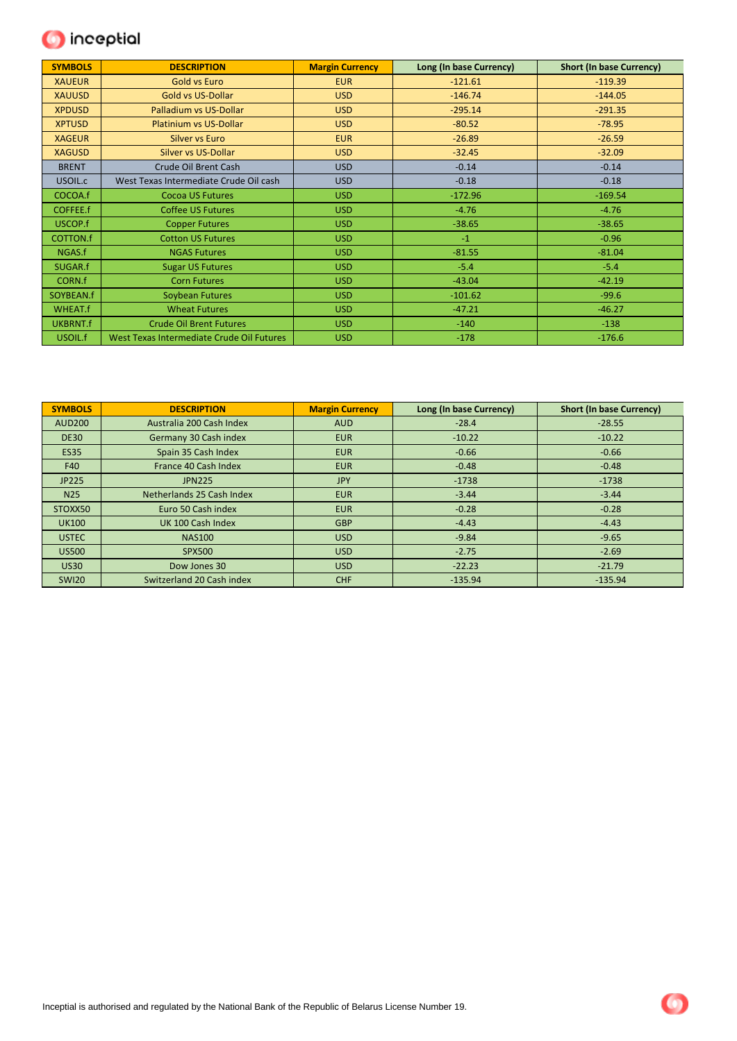

| <b>SYMBOLS</b>  | <b>DESCRIPTION</b>                        | <b>Margin Currency</b> | Long (In base Currency) | <b>Short (In base Currency)</b> |
|-----------------|-------------------------------------------|------------------------|-------------------------|---------------------------------|
| <b>XAUEUR</b>   | <b>Gold vs Euro</b>                       | <b>EUR</b>             | $-121.61$               | $-119.39$                       |
| <b>XAUUSD</b>   | Gold vs US-Dollar                         | <b>USD</b>             | $-146.74$               | $-144.05$                       |
| <b>XPDUSD</b>   | Palladium vs US-Dollar                    | <b>USD</b>             | $-295.14$               | $-291.35$                       |
| <b>XPTUSD</b>   | <b>Platinium vs US-Dollar</b>             | <b>USD</b>             | $-80.52$                | $-78.95$                        |
| <b>XAGEUR</b>   | <b>Silver vs Euro</b>                     | <b>EUR</b>             | $-26.89$                | $-26.59$                        |
| <b>XAGUSD</b>   | Silver vs US-Dollar                       | <b>USD</b>             | $-32.45$                | $-32.09$                        |
| <b>BRENT</b>    | Crude Oil Brent Cash                      | USD                    | $-0.14$                 | $-0.14$                         |
| USOIL.c         | West Texas Intermediate Crude Oil cash    | <b>USD</b>             | $-0.18$                 | $-0.18$                         |
| COCOA.f         | <b>Cocoa US Futures</b>                   | <b>USD</b>             | $-172.96$               | $-169.54$                       |
| COFFEE.f        | <b>Coffee US Futures</b>                  | <b>USD</b>             | $-4.76$                 | $-4.76$                         |
| USCOP.f         | <b>Copper Futures</b>                     | <b>USD</b>             | $-38.65$                | $-38.65$                        |
| <b>COTTON.f</b> | <b>Cotton US Futures</b>                  | <b>USD</b>             | $-1$                    | $-0.96$                         |
| NGAS.f          | <b>NGAS Futures</b>                       | <b>USD</b>             | $-81.55$                | $-81.04$                        |
| SUGAR.f         | <b>Sugar US Futures</b>                   | <b>USD</b>             | $-5.4$                  | $-5.4$                          |
| CORN.f          | <b>Corn Futures</b>                       | <b>USD</b>             | $-43.04$                | $-42.19$                        |
| SOYBEAN.f       | Soybean Futures                           | <b>USD</b>             | $-101.62$               | $-99.6$                         |
| <b>WHEAT.f</b>  | <b>Wheat Futures</b>                      | <b>USD</b>             | $-47.21$                | $-46.27$                        |
| <b>UKBRNT.f</b> | <b>Crude Oil Brent Futures</b>            | <b>USD</b>             | $-140$                  | $-138$                          |
| USOIL.f         | West Texas Intermediate Crude Oil Futures | <b>USD</b>             | $-178$                  | $-176.6$                        |

| <b>SYMBOLS</b>  | <b>DESCRIPTION</b>        | <b>Margin Currency</b> | Long (In base Currency) | <b>Short (In base Currency)</b> |
|-----------------|---------------------------|------------------------|-------------------------|---------------------------------|
| <b>AUD200</b>   | Australia 200 Cash Index  | <b>AUD</b>             | $-28.4$                 | $-28.55$                        |
| <b>DE30</b>     | Germany 30 Cash index     | <b>EUR</b>             | $-10.22$                | $-10.22$                        |
| <b>ES35</b>     | Spain 35 Cash Index       | <b>EUR</b>             | $-0.66$                 | $-0.66$                         |
| F40             | France 40 Cash Index      | <b>EUR</b>             | $-0.48$                 | $-0.48$                         |
| JP225           | <b>JPN225</b>             | <b>JPY</b>             | $-1738$                 | $-1738$                         |
| N <sub>25</sub> | Netherlands 25 Cash Index | <b>EUR</b>             | $-3.44$                 | $-3.44$                         |
| STOXX50         | Euro 50 Cash index        | <b>EUR</b>             | $-0.28$                 | $-0.28$                         |
| <b>UK100</b>    | UK 100 Cash Index         | <b>GBP</b>             | $-4.43$                 | $-4.43$                         |
| <b>USTEC</b>    | <b>NAS100</b>             | USD                    | $-9.84$                 | $-9.65$                         |
| <b>US500</b>    | <b>SPX500</b>             | USD                    | $-2.75$                 | $-2.69$                         |
| <b>US30</b>     | Dow Jones 30              | USD                    | $-22.23$                | $-21.79$                        |
| <b>SWI20</b>    | Switzerland 20 Cash index | <b>CHF</b>             | $-135.94$               | $-135.94$                       |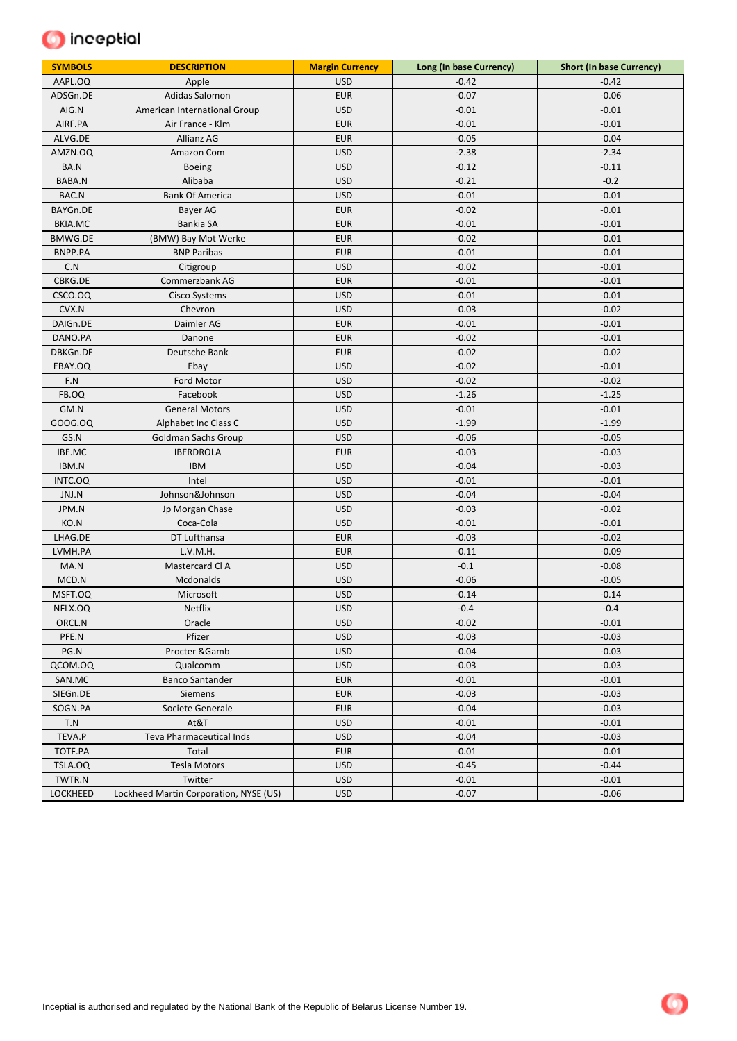

| <b>SYMBOLS</b>  | <b>DESCRIPTION</b>                     | <b>Margin Currency</b> | Long (In base Currency) | <b>Short (In base Currency)</b> |
|-----------------|----------------------------------------|------------------------|-------------------------|---------------------------------|
| AAPL.OQ         | Apple                                  | <b>USD</b>             | $-0.42$                 | $-0.42$                         |
| ADSGn.DE        | Adidas Salomon                         | <b>EUR</b>             | $-0.07$                 | $-0.06$                         |
| AIG.N           | American International Group           | <b>USD</b>             | $-0.01$                 | $-0.01$                         |
| AIRF.PA         | Air France - Klm                       | <b>EUR</b>             | $-0.01$                 | $-0.01$                         |
| ALVG.DE         | Allianz AG                             | <b>EUR</b>             | $-0.05$                 | $-0.04$                         |
| AMZN.OQ         | Amazon Com                             | <b>USD</b>             | $-2.38$                 | $-2.34$                         |
| BA.N            | <b>Boeing</b>                          | <b>USD</b>             | $-0.12$                 | $-0.11$                         |
| BABA.N          | Alibaba                                | <b>USD</b>             | $-0.21$                 | $-0.2$                          |
| BAC.N           | <b>Bank Of America</b>                 | <b>USD</b>             | $-0.01$                 | $-0.01$                         |
| BAYGn.DE        | Bayer AG                               | <b>EUR</b>             | $-0.02$                 | $-0.01$                         |
| <b>BKIA.MC</b>  | Bankia SA                              | <b>EUR</b>             | $-0.01$                 | $-0.01$                         |
| <b>BMWG.DE</b>  | (BMW) Bay Mot Werke                    | <b>EUR</b>             | $-0.02$                 | $-0.01$                         |
| BNPP.PA         | <b>BNP Paribas</b>                     | <b>EUR</b>             | $-0.01$                 | $-0.01$                         |
| C.N             | Citigroup                              | <b>USD</b>             | $-0.02$                 | $-0.01$                         |
| CBKG.DE         | Commerzbank AG                         | <b>EUR</b>             | $-0.01$                 | $-0.01$                         |
| CSCO.OQ         | Cisco Systems                          | <b>USD</b>             | $-0.01$                 | $-0.01$                         |
| CVX.N           | Chevron                                | <b>USD</b>             | $-0.03$                 | $-0.02$                         |
| DAIGn.DE        | Daimler AG                             | <b>EUR</b>             | $-0.01$                 | $-0.01$                         |
| DANO.PA         | Danone                                 | <b>EUR</b>             | $-0.02$                 | $-0.01$                         |
| DBKGn.DE        | Deutsche Bank                          | <b>EUR</b>             | $-0.02$                 | $-0.02$                         |
| EBAY.OQ         | Ebay                                   | <b>USD</b>             | $-0.02$                 | $-0.01$                         |
| F.N             | Ford Motor                             | <b>USD</b>             | $-0.02$                 | $-0.02$                         |
| FB.OQ           | Facebook                               | <b>USD</b>             | $-1.26$                 | $-1.25$                         |
| GM.N            | <b>General Motors</b>                  | <b>USD</b>             | $-0.01$                 | $-0.01$                         |
| GO0G.0Q         | Alphabet Inc Class C                   | <b>USD</b>             | $-1.99$                 | $-1.99$                         |
| GS.N            | Goldman Sachs Group                    | <b>USD</b>             | $-0.06$                 | $-0.05$                         |
| IBE.MC          | <b>IBERDROLA</b>                       | <b>EUR</b>             | $-0.03$                 | $-0.03$                         |
| IBM.N           | <b>IBM</b>                             | <b>USD</b>             | $-0.04$                 | $-0.03$                         |
| INTC.OQ         | Intel                                  | <b>USD</b>             | $-0.01$                 | $-0.01$                         |
| JNJ.N           | Johnson&Johnson                        | <b>USD</b>             | $-0.04$                 | $-0.04$                         |
| JPM.N           | Jp Morgan Chase                        | <b>USD</b>             | $-0.03$                 | $-0.02$                         |
| KO.N            | Coca-Cola                              | <b>USD</b>             | $-0.01$                 | $-0.01$                         |
| LHAG.DE         | DT Lufthansa                           | <b>EUR</b>             | $-0.03$                 | $-0.02$                         |
| LVMH.PA         | L.V.M.H.                               | <b>EUR</b>             | $-0.11$                 | $-0.09$                         |
| MA.N            | Mastercard Cl A                        | <b>USD</b>             | $-0.1$                  | $-0.08$                         |
| MCD.N           | Mcdonalds                              | <b>USD</b>             | $-0.06$                 | $-0.05$                         |
| MSFT.OQ         | Microsoft                              | <b>USD</b>             | $-0.14$                 | $-0.14$                         |
| NFLX.OQ         | Netflix                                | <b>USD</b>             | $-0.4$                  | $-0.4$                          |
| ORCL.N          | Oracle                                 | <b>USD</b>             | $-0.02$                 | $-0.01$                         |
| PFE.N           | Pfizer                                 | <b>USD</b>             | $-0.03$                 | $-0.03$                         |
| PG.N            | Procter & Gamb                         | <b>USD</b>             | $-0.04$                 | $-0.03$                         |
| QCOM.OQ         | Qualcomm                               | <b>USD</b>             | $-0.03$                 | $-0.03$                         |
| SAN.MC          | <b>Banco Santander</b>                 | <b>EUR</b>             | $-0.01$                 | $-0.01$                         |
| SIEGn.DE        | Siemens                                | <b>EUR</b>             | $-0.03$                 | $-0.03$                         |
| SOGN.PA         | Societe Generale                       | <b>EUR</b>             | $-0.04$                 | $-0.03$                         |
| T.N             | At&T                                   | <b>USD</b>             | $-0.01$                 | $-0.01$                         |
| TEVA.P          | <b>Teva Pharmaceutical Inds</b>        | <b>USD</b>             | $-0.04$                 | $-0.03$                         |
| TOTF.PA         | Total                                  | <b>EUR</b>             | $-0.01$                 | $-0.01$                         |
| TSLA.OQ         | <b>Tesla Motors</b>                    | <b>USD</b>             | $-0.45$                 | $-0.44$                         |
| TWTR.N          | Twitter                                | <b>USD</b>             | $-0.01$                 | $-0.01$                         |
| <b>LOCKHEED</b> | Lockheed Martin Corporation, NYSE (US) | <b>USD</b>             | $-0.07$                 | $-0.06$                         |